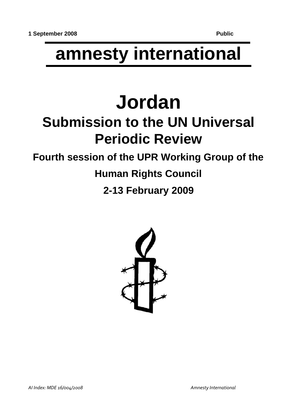# **amnesty international**

# **Jordan Submission to the UN Universal Periodic Review**

## **Fourth session of the UPR Working Group of the**

# **Human Rights Council**

### **2-13 February 2009**

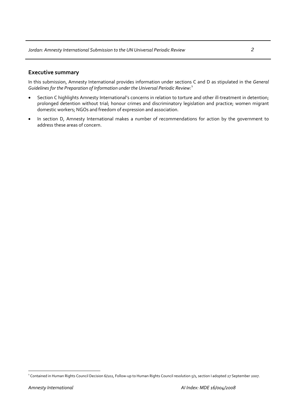#### **Executive summary**

In this submission, Amnesty International provides information under sections C and D as stipulated in the *General Guidelines for the Preparation of Information under the Universal Periodic Review:*[1](#page-1-0)

- Section C highlights Amnesty International's concerns in relation to torture and other ill-treatment in detention; prolonged detention without trial; honour crimes and discriminatory legislation and practice; women migrant domestic workers; NGOs and freedom of expression and association.
- In section D, Amnesty International makes a number of recommendations for action by the government to address these areas of concern.

<span id="page-1-0"></span><sup>&</sup>lt;sup>1</sup> Contained in Human Rights Council Decision 6/102, Follow-up to Human Rights Council resolution 5/1, section I adopted 27 September 2007.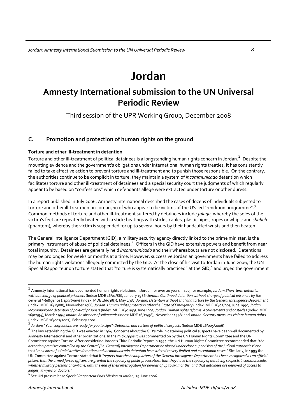## **Jordan**

### **Amnesty International submission to the UN Universal Periodic Review**

Third session of the UPR Working Group, December 2008

### **C. Promotion and protection of human rights on the ground**

#### **Torture and other ill‐treatment in detention**

Torture and other ill-treatment of political detainees is a longstanding human rights concern in Jordan. $^2\,$  $^2\,$  $^2\,$  Despite the mounting evidence and the government's obligations under international human rights treaties, it has consistently failed to take effective action to prevent torture and ill-treatment and to punish those responsible. On the contrary, the authorities continue to be complicit in torture: they maintain a system of *incommunicado* detention which facilitates torture and other ill-treatment of detainees and a special security court the judgments of which regularly appear to be based on "confessions" which defendants allege were extracted under torture or other duress.

In a report published in July 2006, Amnesty International described the cases of dozens of individuals subjected to torture and other ill-treatment in Jordan, 10 of who appear to be victims of the US-led "rendition programme".<sup>[3](#page-2-1)</sup> Common methods of torture and other ill‐treatment suffered by detainees include *falaqa,* whereby the soles of the victim's feet are repeatedly beaten with a stick; beatings with sticks, cables, plastic pipes, ropes or whips; and *shabeh* (phantom), whereby the victim is suspended for up to several hours by their handcuffed wrists and then beaten.

The General Intelligence Department (GID), a military security agency directly linked to the prime minister, is the primary instrument of abuse of political detainees.<sup>[4](#page-2-2)</sup> Officers in the GID have extensive powers and benefit from near total impunity. Detainees are generally held *incommunicado* and their whereabouts are not disclosed. Detentions may be prolonged for weeks or months at a time. However, successive Jordanian governments have failed to address the human rights violations allegedly committed by the GID. At the close of his visit to Jordan in June 2006, the UN Special Rapporteur on torture stated that "torture is systematically practiced" at the GID, $5$  and urged the government

<span id="page-2-0"></span><sup>2</sup> Amnesty International has documented human rights violations in Jordan for over <sup>20</sup> years ‐‐ see, for example, *Jordan: Short‐term detention* without charge of political prisoners (Index: MDE 16/01/86), January 1986; Jordan: Continued detention without charge of political prisoners by the General Intelligence Department (Index: MDE 16/03/87), May 1987; Jordan: Detention without trial and torture by the General Intelligence Department (Index: MDE 16/13/88), November 1988; *Jordan: Human rights protection after the State of Emergency* (Index: MDE 16/02/90), June 1990; *Jordan:* Incommunicado detention of political prisoners (Index: MDE 16/01/93), June 1993; Jordan: Human rights reforms: Achievements and obstacles (Index: MDE 16/02/94), March 1994;*Jordan: An absence ofsafeguards*(Index: MDE 16/11/98), November 1998; and *Jordan: Security measures violate human rights*

<span id="page-2-2"></span>

<span id="page-2-1"></span><sup>(</sup>Index: MDE 16/001/2002), February 2002.<br><sup>3</sup> Jordan: "Your confessions are ready for you to sign": Detention and torture of political suspects (Index: MDE 16/005/2006)<br><sup>4</sup> The law establishing the GID was enacted in 1964. Amnesty International and other organizations. In the mid‐1990s it was commented on by the UN Human Rights Committee and the UN Committee against Torture. After considering Jordan's Third Periodic Report in 1994, the UN Human Rights Committee recommended that *"the* detention premises controlled by the Central [i.e. General] Intelligence Department be placed under close supervision of the judicial authorities" and that "measures of administrative detention and incommunicado detention be restricted to very limited and exceptional cases." Similarly, in 1995 the UN Committee against Torture stated that it "regrets that the headquarters of the General Intelligence Department has been recognized as an official prison, that the armed forces officers are granted the capacity of public prosecutors, that they have the capacity of detaining suspects incommunicado, whether military persons or civilians, until the end of their interrogation for periods of up to six months, and that detainees are deprived of access to<br>judges, lawyers or doctors."

<span id="page-2-3"></span>*judges, lawyers or doctors."* <sup>5</sup>See UN press release *Special Rapporteur Ends Mission to Jordan*, <sup>29</sup> June 2006.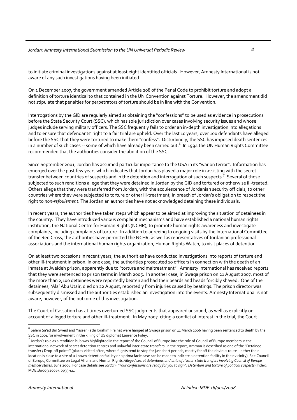to initiate criminal investigations against at least eight identified officials. However, Amnesty International is not aware of any such investigations having been initiated.

On 1 December 2007, the government amended Article 208 of the Penal Code to prohibit torture and adopt a definition of torture identical to that contained in the UN Convention against Torture. However, the amendment did not stipulate that penalties for perpetrators of torture should be in line with the Convention.

Interrogations by the GID are regularly aimed at obtaining the "confessions" to be used as evidence in prosecutions before the State Security Court (SSC), which has sole jurisdiction over cases involving security issues and whose judges include serving military officers. The SSC frequently fails to order an in‐depth investigation into allegations and to ensure that defendants' right to a fair trial are upheld. Over the last 10 years, over 100 defendants have alleged before the SSC that they were tortured to make them "confess". Disturbingly, the SSC has imposed death sentences in a number of such cases -- some of which have already been carried out.<sup>[6](#page-3-0)</sup> In 1994 the UN Human Rights Committee recommended that the authorities consider the abolition of the SSC.

Since September 2001, Jordan has assumed particular importance to the USA in its "war on terror". Information has emerged over the past few years which indicates that Jordan has played a major role in assisting with the secret transfer between countries of suspects and in the detention and interrogation of such suspects.<sup>[7](#page-3-1)</sup> Several of those subjected to such renditions allege that they were detained in Jordan by the GID and tortured or otherwise ill-treated. Others allege that they were transferred from Jordan, with the acquiescence of Jordanian security officials, to other countries where they were subjected to torture or other ill-treatment, in breach of Jordan's obligation to respect the right to *non‐refoulement*. The Jordanian authorities have not acknowledged detaining these individuals.

In recent years, the authorities have taken steps which appear to be aimed at improving the situation of detainees in the country. They have introduced various complaint mechanisms and have established a national human rights institution, the National Centre for Human Rights (NCHR), to promote human rights awareness and investigate complaints, including complaints of torture. In addition to agreeing to ongoing visits by the International Committee of the Red Cross, the authorities have permitted the NCHR, as well as representatives of Jordanian professional associations and the international human rights organization, Human Rights Watch, to visit places of detention.

On at least two occasions in recent years, the authorities have conducted investigations into reports of torture and other ill-treatment in prison. In one case, the authorities prosecuted 10 officers in connection with the death of an inmate at Jweideh prison, apparently due to "torture and maltreatment". Amnesty International has received reports that they were sentenced to prison terms in March 2005. In another case, in Swaqa prison on 21 August 2007, most of the more than 2,100 detainees were reportedly beaten and had their beards and heads forcibly shaved. One of the detainees, 'Ala' Abu Utair, died on 22 August, reportedly from injuries caused by beatings. The prison director was subsequently dismissed and the authorities established an investigation into the events. Amnesty International is not aware, however, of the outcome of this investigation.

The Court of Cassation has at times overturned SSC judgments that appeared unsound, as well as explicitly on account of alleged torture and other ill-treatment. In May 2007, citing a conflict of interest in the trial, the Court

<span id="page-3-0"></span> $^6$  Salem Sa'ad Bin Sweid and Yasser Fathi Ibrahim Freihat were hanged at Swaqa prison on 11 March 2006 having been sentenced to death by the

<span id="page-3-1"></span>SSC in 2004 for involvement in the killing of US diplomat Laurence Foley.<br><sup>7</sup> Jordan's role as a rendition hub was highlighted in the report of the Council of Europe into the role of Council of Europe members in the international network of secret detention centres and unlawful inter-state transfers. In the report, Amman is described as one of the "Detainee transfer / Drop‐off points" (places visited often, where flights tend to stop for just short periods, mostly far off the obvious route – either their location is close to a site of a known detention facility or a prima facie case can be made to indicate a detention facility in their vicinity). See Council of Europe, Committee on Legal Affairs and Human Rights Alleged secret detentions and unlawful inter-state transfers involving Council of Europe member states, June 2006. For case details see Jordan: "Your confessions are ready for you to sign": Detention and torture of political suspects (Index: MDE 16/005/2006), pp33‐44.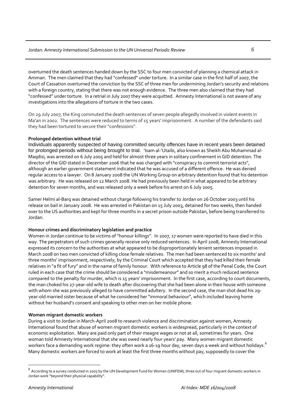overturned the death sentences handed down by the SSC to four men convicted of planning a chemical attack in Amman. The men claimed that they had "confessed" under torture. In a similar case in the first half of 2007, the Court of Cassation overturned the conviction by the SSC of three men for undermining Jordan's security and relations with a foreign country, stating that there was not enough evidence. The three men also claimed that they had "confessed" under torture. In a retrial in July 2007 they were acquitted. Amnesty International is not aware of any investigations into the allegations of torture in the two cases.

On 29 July 2007, the King commuted the death sentences of seven people allegedly involved in violent events in Ma'an in 2002. The sentences were reduced to terms of 15 years' imprisonment. A number of the defendants said they had been tortured to secure their "confessions".

#### **Prolonged detention without trial**

Individuals apparently suspected of having committed security offences have in recent years been detained for prolonged periods without being brought to trial. 'Isam al-'Utaibi, also known as Sheikh Abu Muhammad al-Maqdisi, was arrested on 6 July 2005 and held for almost three years in solitary confinement in GID detention. The director of the GID stated in December 2006 that he was charged with "conspiracy to commit terrorist acts", although an earlier government statement indicated that he was accused of a different offence. He was denied regular access to a lawyer. On 8 January 2008 the UN Working Group on arbitrary detention found that his detention was arbitrary. He was released on 12 March 2008. He had previously been held in what appeared to be arbitrary detention for seven months, and was released only a week before his arrest on 6 July 2005.

Samer Helmi al‐Barq was detained without charge following his transfer to Jordan on 26 October 2003 until his release on bail in January 2008. He was arrested in Pakistan on 15 July 2003, detained for two weeks, then handed over to the US authorities and kept for three months in a secret prison outside Pakistan, before being transferred to Jordan.

#### **Honour crimes and discriminatory legislation and practice**

Women in Jordan continue to be victims of"honour killings". In 2007, 17 women were reported to have died in this way. The perpetrators of such crimes generally receive only reduced sentences. In April 2008, Amnesty International expressed its concern to the authorities at what appeared to be disproportionately lenient sentences imposed in March 2008 on two men convicted of killing close female relatives. The men had been sentenced to six months' and three months' imprisonment, respectively, by the Criminal Court which accepted that they had killed their female relatives in "a fit of fury" and in the name of family honour. With reference to Article 98 of the Penal Code, the Court ruled in each case that the crime should be considered a "misdemeanour" and so merit a much reduced sentence compared to the penalty for murder, which is 15 years' imprisonment. In the first case, according to court documents, the man choked his 27‐year‐old wife to death after discovering that she had been alone in their house with someone with whom she was previously alleged to have committed adultery. In the second case, the man shot dead his 29‐ year-old married sister because of what he considered her "immoral behaviour", which included leaving home without her husband's consent and speaking to other men on her mobile phone.

#### **Women migrant domestic workers**

During a visit to Jordan in March‐April 2008 to research violence and discrimination against women, Amnesty International found that abuse of women migrant domestic workers is widespread, particularly in the context of economic exploitation. Many are paid only part of their meagre wages or not at all, sometimes for years. One woman told Amnesty International that she was owed nearly four years' pay. Many women migrant domestic workers face a demanding work regime: they often work a 16-19 hour day, seven days a week and without holidays. $^8$  $^8$ Many domestic workers are forced to work at least the first three months without pay, supposedly to cover the

<span id="page-4-0"></span> $^8$  According to a survey conducted in 2005 by the UN Development Fund for Women (UNIFEM), three out of four migrant domestic workers in Jordan work "beyond their physical capability".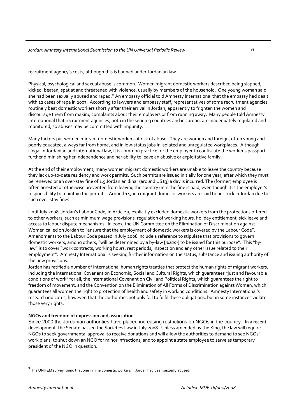recruitment agency's costs, although this is banned under Jordanian law.

Physical, psychological and sexual abuse is common. Women migrant domestic workers described being slapped, kicked, beaten, spat at and threatened with violence, usually by members of the household. One young woman said she had been sexually abused and raped.<sup>[9](#page-5-0)</sup> An embassy official told Amnesty International that the embassy had dealt with 12 cases of rape in 2007. According to lawyers and embassy staff, representatives of some recruitment agencies routinely beat domestic workers shortly after their arrival in Jordan, apparently to frighten the women and discourage them from making complaints about their employers or from running away. Many people told Amnesty International that recruitment agencies, both in the sending countries and in Jordan, are inadequately regulated and monitored, so abuses may be committed with impunity.

Many factors put women migrant domestic workers at risk of abuse. They are women and foreign, often young and poorly educated, always far from home, and in low‐status jobs in isolated and unregulated workplaces. Although illegal in Jordanian and international law, it is common practice for the employer to confiscate the worker's passport, further diminishing her independence and her ability to leave an abusive or exploitative family.

At the end of their employment, many women migrant domestic workers are unable to leave the country because they lack up-to-date residency and work permits. Such permits are issued initially for one year, after which they must be renewed or an over‐stay fine of 1.5 Jordanian dinar (around US\$3) a day is incurred. The (former) employee is often arrested or otherwise prevented from leaving the country until the fine is paid, even though it is the employer's responsibility to maintain the permits. Around 14,000 migrant domestic workers are said to be stuck in Jordan due to such over‐stay fines

Until July 2008, Jordan's Labour Code, in Article 3, explicitly excluded domestic workers from the protections offered to other workers, such as minimum wage provisions, regulation of working hours, holiday entitlement, sick leave and access to labour dispute mechanisms. In 2007, the UN Committee on the Elimination of Discrimination against Women called on Jordan to "ensure that the employment of domestic workers is covered by the Labour Code". Amendments to the Labour Code passed in July 2008 include a reference to stipulate that provisions to govern domestic workers, among others, "will be determined by a by‐law [*nizam*] to be issued for this purpose". This "by‐ law" is to cover "work contracts, working hours, rest periods, inspection and any other issue related to their employment". Amnesty International is seeking further information on the status, substance and issuing authority of the new provisions.

Jordan has ratified a number of international human rights treaties that protect the human rights of migrant workers, including the International Covenant on Economic, Social and Cultural Rights, which guarantees "just and favourable conditions of work" for all; the International Covenant on Civil and Political Rights, which guarantees the right to freedom of movement; and the Convention on the Elimination of All Forms of Discrimination against Women, which guarantees all women the right to protection of health and safety in working conditions. Amnesty International's research indicates, however, that the authorities not only fail to fulfil these obligations, but in some instances violate those very rights.

#### **NGOs and freedom of expression and association**

Since 2000 the Jordanian authorities have placed increasing restrictions on NGOs in the country. In a recent development, the Senate passed the Societies Law in July 2008. Unless amended by the King, the law will require NGOs to seek governmental approval to receive donations and will allow the authorities to demand to see NGOs' work plans, to shut down an NGO for minor infractions, and to appoint a state employee to serve as temporary president of the NGO in question.

<span id="page-5-0"></span> $9$  The UNIFEM survey found that one in nine domestic workers in Jordan had been sexually abused.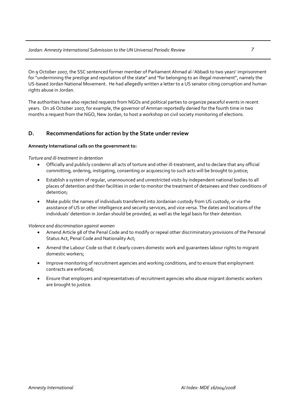On 9 October 2007, the SSC sentenced former member of Parliament Ahmad al‐'Abbadi to two years' imprisonment for "undermining the prestige and reputation of the state" and "for belonging to an illegal movement", namely the US‐based Jordan National Movement. He had allegedly written a letter to a US senator citing corruption and human rights abuse in Jordan.

The authorities have also rejected requests from NGOs and political parties to organize peaceful events in recent years. On 26 October 2007, for example, the governor of Amman reportedly denied for the fourth time in two months a request from the NGO, New Jordan, to host a workshop on civil society monitoring of elections.

### **D. Recommendations for action by the State under review**

#### **Amnesty International calls on the government to:**

#### *Torture and ill‐treatment in detention*

- Officially and publicly condemn all acts of torture and other ill‐treatment, and to declare that any official committing, ordering, instigating, consenting or acquiescing to such acts will be brought to justice;
- Establish a system of regular, unannounced and unrestricted visits by independent national bodies to all places of detention and their facilities in order to monitor the treatment of detainees and their conditions of detention;
- Make public the names of individuals transferred into Jordanian custody from US custody, or via the assistance of US or other intelligence and security services, and vice versa. The dates and locations of the individuals' detention in Jordan should be provided, as well as the legal basis for their detention.

#### *Violence and discrimination against women*

- Amend Article 98 of the Penal Code and to modify or repeal other discriminatory provisions of the Personal Status Act, Penal Code and Nationality Act;
- Amend the Labour Code so that it clearly covers domestic work and guarantees labour rights to migrant domestic workers;
- Improve monitoring of recruitment agencies and working conditions, and to ensure that employment contracts are enforced;
- Ensure that employers and representatives of recruitment agencies who abuse migrant domestic workers are brought to justice.